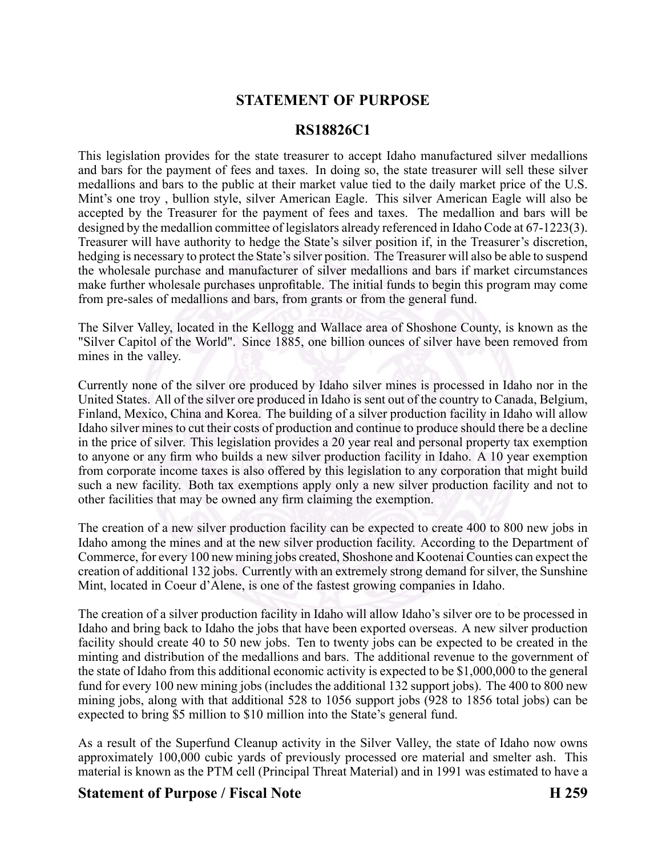# **STATEMENT OF PURPOSE**

### **RS18826C1**

This legislation provides for the state treasurer to accep<sup>t</sup> Idaho manufactured silver medallions and bars for the paymen<sup>t</sup> of fees and taxes. In doing so, the state treasurer will sell these silver medallions and bars to the public at their market value tied to the daily market price of the U.S. Mint's one troy , bullion style, silver American Eagle. This silver American Eagle will also be accepted by the Treasurer for the paymen<sup>t</sup> of fees and taxes. The medallion and bars will be designed by the medallion committee of legislators already referenced in Idaho Code at  $67-1223(3)$ . Treasurer will have authority to hedge the State's silver position if, in the Treasurer's discretion, hedging is necessary to protect the State's silver position. The Treasurer will also be able to suspend the wholesale purchase and manufacturer of silver medallions and bars if market circumstances make further wholesale purchases unprofitable. The initial funds to begin this program may come from presales of medallions and bars, from grants or from the general fund.

The Silver Valley, located in the Kellogg and Wallace area of Shoshone County, is known as the "Silver Capitol of the World". Since 1885, one billion ounces of silver have been removed from mines in the valley.

Currently none of the silver ore produced by Idaho silver mines is processed in Idaho nor in the United States. All of the silver ore produced in Idaho is sent out of the country to Canada, Belgium, Finland, Mexico, China and Korea. The building of <sup>a</sup> silver production facility in Idaho will allow Idaho silver mines to cut their costs of production and continue to produce should there be <sup>a</sup> decline in the price of silver. This legislation provides <sup>a</sup> 20 year real and personal property tax exemption to anyone or any firm who builds <sup>a</sup> new silver production facility in Idaho. A 10 year exemption from corporate income taxes is also offered by this legislation to any corporation that might build such <sup>a</sup> new facility. Both tax exemptions apply only <sup>a</sup> new silver production facility and not to other facilities that may be owned any firm claiming the exemption.

The creation of <sup>a</sup> new silver production facility can be expected to create 400 to 800 new jobs in Idaho among the mines and at the new silver production facility. According to the Department of Commerce, for every 100 new mining jobs created, Shoshone and Kootenai Counties can expec<sup>t</sup> the creation of additional 132 jobs. Currently with an extremely strong demand for silver, the Sunshine Mint, located in Coeur d'Alene, is one of the fastest growing companies in Idaho.

The creation of <sup>a</sup> silver production facility in Idaho will allow Idaho's silver ore to be processed in Idaho and bring back to Idaho the jobs that have been exported overseas. A new silver production facility should create 40 to 50 new jobs. Ten to twenty jobs can be expected to be created in the minting and distribution of the medallions and bars. The additional revenue to the governmen<sup>t</sup> of the state of Idaho from this additional economic activity is expected to be \$1,000,000 to the general fund for every 100 new mining jobs (includes the additional 132 suppor<sup>t</sup> jobs). The 400 to 800 new mining jobs, along with that additional 528 to 1056 suppor<sup>t</sup> jobs (928 to 1856 total jobs) can be expected to bring \$5 million to \$10 million into the State's general fund.

As <sup>a</sup> result of the Superfund Cleanup activity in the Silver Valley, the state of Idaho now owns approximately 100,000 cubic yards of previously processed ore material and smelter ash. This material is known as the PTM cell (Principal Threat Material) and in 1991 was estimated to have <sup>a</sup>

## **Statement of Purpose / Fiscal Note H 259**